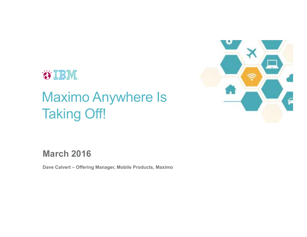

## Maximo Anywhere Is Taking Off!



**March 2016**

**Dave Calvert – Offering Manager, Mobile Products, Maximo**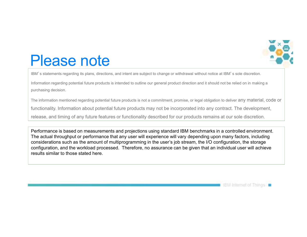

## Please note

IBM's statements regarding its plans, directions, and intent are subject to change or withdrawal without notice at IBM's sole discretion.

Information regarding potential future products is intended to outline our general product direction and it should not be relied on in making a purchasing decision.

The information mentioned regarding potential future products is not a commitment, promise, or legal obligation to deliver any material, code or

functionality. Information about potential future products may not be incorporated into any contract. The development,

release, and timing of any future features or functionality described for our products remains at our sole discretion.

Performance is based on measurements and projections using standard IBM benchmarks in a controlled environment. The actual throughput or performance that any user will experience will vary depending upon many factors, including considerations such as the amount of multiprogramming in the user's job stream, the I/O configuration, the storage configuration, and the workload processed. Therefore, no assurance can be given that an individual user will achieve results similar to those stated here.

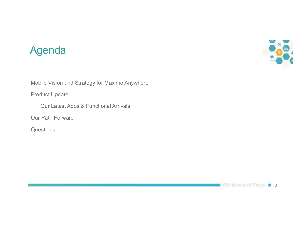### Agenda



Mobile Vision and Strategy for Maximo Anywhere

Product Update

Our Latest Apps & Functional Arrivals

Our Path Forward

**Questions** 

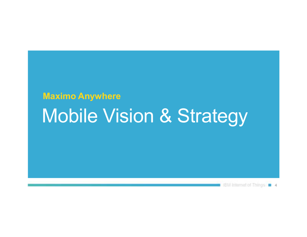## **Maximo Anywhere**  Mobile Vision & Strategy

**EXAmenetor Things 4**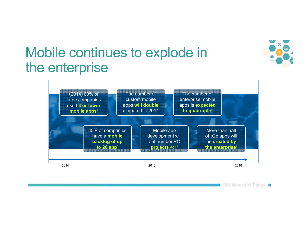

**IBM internet of Things in** 

## Mobile continues to explode in the enterprise

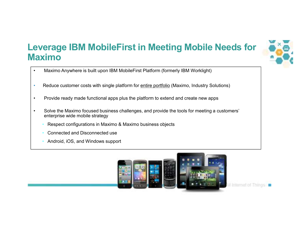### **Leverage IBM MobileFirst in Meeting Mobile Needs for Maximo**



- •Maximo Anywhere is built upon IBM MobileFirst Platform (formerly IBM Worklight)
- •Reduce customer costs with single platform for entire portfolio (Maximo, Industry Solutions)
- •Provide ready made functional apps plus the platform to extend and create new apps
- • Solve the Maximo focused business challenges, and provide the tools for meeting a customers' enterprise wide mobile strategy
	- Respect configurations in Maximo & Maximo business objects
	- Connected and Disconnected use
	- Android, iOS, and Windows support

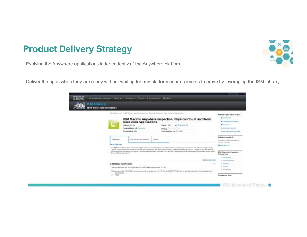### **Product Delivery Strategy**



Evolving the Anywhere applications independently of the Anywhere platform

Deliver the apps when they are ready without waiting for any platform enhancements to arrive by leveraging the ISM Library

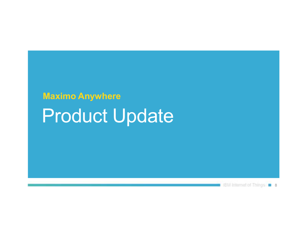## **Maximo Anywhere**  Product Update

BM Internet of Things | 8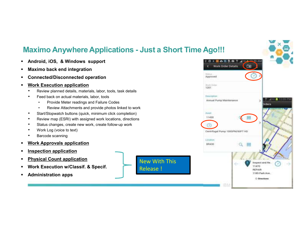#### **Maximo Anywhere Applications - Just a Short Time Ago!!!**

- $\blacksquare$ **Android, iOS, & Windows support**
- ٠ **Maximo back end integration**
- $\blacksquare$ **Connected/Disconnected operation**
- $\blacksquare$  **Work Execution application**
	- Review planned details, materials, labor, tools, task details•
	- • Feed back on actual materials, labor, tools
		- Provide Meter readings and Failure Codes •
		- •Review Attachments and provide photos linked to work
	- •Start/Stopwatch buttons (quick, minimum click completion)
	- •Review map (ESRI) with assigned work locations, directions
	- •Status changes, create new work, create follow-up work
	- •Work Log (voice to text)
	- •Barcode scanning
- $\blacksquare$ **Work Approvals application**
- $\blacksquare$ **Inspection application**
- Z **Physical Count application**
- $\blacksquare$ **Work Execution w/Classif. & Specif.**
- $\blacksquare$ **Administration apps**

New With This Release !

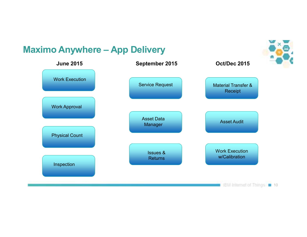### **Maximo Anywhere – App Delivery**

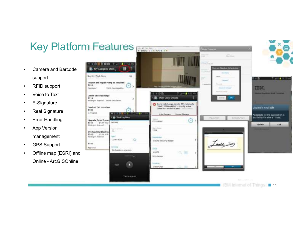### Key Platform Features

- • Camera and Barcode support
- •RFID support
- •Voice to Text
- •E-Signature
- •Real Signature
- •Error Handling
- • App Version management
- •GPS Support
- • Offline map (ESRI) and Online - ArcGISOnline

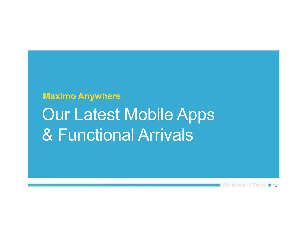## **Maximo Anywhere**  Our Latest Mobile Apps & Functional Arrivals

18M Internet of Things 12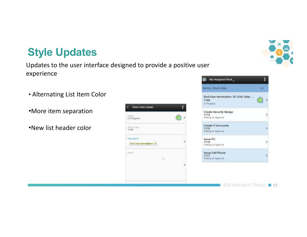## **Style Updates**

#### Updates to the user interface designed to provide a positive user experience

- Alternating List Item Color
- •More item separation
- •New list header color

|                       | <b>Work Order Details</b>          |  |
|-----------------------|------------------------------------|--|
| icuzus<br>In Progress |                                    |  |
| Work Chore<br>1106    |                                    |  |
| Descriptes :          | $-10-$<br>End-User terministon, ID |  |
| Appt                  |                                    |  |
|                       |                                    |  |





18M Internet of Things: **13**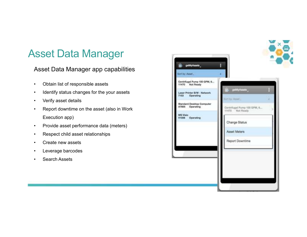## Asset Data Manager

#### Asset Data Manager app capabilities

- •Obtain list of responsible assets
- •Identify status changes for the your assets
- •Verify asset details
- • Report downtime on the asset (also in Work Execution app)
- •Provide asset performance data (meters)
- •Respect child asset relationships
- •Create new assets
- •Leverage barcodes
- •Search Assets

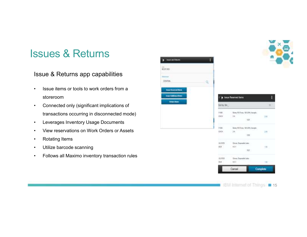ı

11

### Issues & Returns

#### Issue & Returns app capabilities

- • Issue items or tools to work orders from a storeroom
- Connected only (significant implications of •transactions occurring in disconnected mode)
- •Leverages Inventory Usage Documents
- •View reservations on Work Orders or Assets
- •Rotating Items
- •Utilize barcode scanning
- •Follows all Maximo inventory transaction rules



п

**HIFORD** 

**Science CENTRE** 

16M Internet of Things: **15**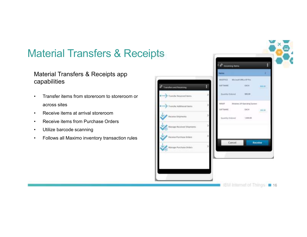## Material Transfers & Receipts

#### Material Transfers & Receipts app capabilities

- • Transfer items from storeroom to storeroom or across sites
- •Receive items at arrival storeroom
- Receive items from Purchase Orders •
- •Utilize barcode scanning
- •Follows all Maximo inventory transaction rules

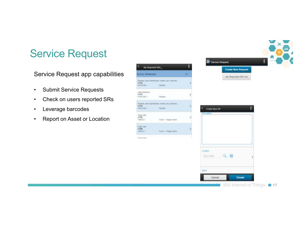## Service Request

Service Request app capabilities

Sett by

 $1574$ 

 $1634$  (218)<br> $1973$ <br> $-0251,00$ 

 $rac{1172}{\text{even}}$ 

Liquy at 1570 **TRACK** 

1749 **TIMOR Distances** 

- $\bullet$ Submit Service Requests
- •Check on users reported SRs
- •Leverage barcodes
- •Report on Asset or Location

| ST fürtder<br>29<br>My Reported SR List<br>are Courthouse, Andel Lowe Esternal.<br>s<br>in.<br>Figures<br><b>DIFLIK!</b><br>riet.<br>0<br>H.<br>Figures 1<br>AND CONSTRUCTION AND LONG EXHIBITION<br>ı<br>D.<br>Parker<br>Creato New SR<br>Description<br>í.<br>5<br>Track I - Raper Dave<br>ŕ.<br>s<br>TIMET / RIMPLOIVE<br>i, | y Reported SRs | I | <b>Create New Request</b> |  |
|---------------------------------------------------------------------------------------------------------------------------------------------------------------------------------------------------------------------------------------------------------------------------------------------------------------------------------|----------------|---|---------------------------|--|
|                                                                                                                                                                                                                                                                                                                                 |                |   |                           |  |
|                                                                                                                                                                                                                                                                                                                                 |                |   |                           |  |
|                                                                                                                                                                                                                                                                                                                                 |                |   |                           |  |
|                                                                                                                                                                                                                                                                                                                                 |                |   |                           |  |
|                                                                                                                                                                                                                                                                                                                                 |                |   |                           |  |
|                                                                                                                                                                                                                                                                                                                                 |                |   |                           |  |
|                                                                                                                                                                                                                                                                                                                                 |                |   |                           |  |
| Tanzalteri<br><b>CONSCILLENT</b><br>a m<br>THE RY WERE<br>s                                                                                                                                                                                                                                                                     |                |   |                           |  |
| <b>Amazd</b>                                                                                                                                                                                                                                                                                                                    |                |   |                           |  |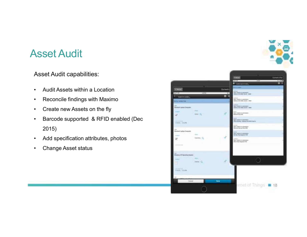### Asset Audit

Asset Audit capabilities:

- •Audit Assets within a Location
- •Reconcile findings with Maximo
- $\bullet$ Create new Assets on the fly
- • Barcode supported & RFID enabled (Dec 2015)
- •Add specification attributes, photos
- •Change Asset status

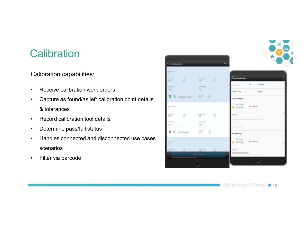## **Calibration**

Calibration capabilities:

- •Receive calibration work orders
- • Capture as found/as left calibration point details & tolerances
- •Record calibration tool details
- •Determine pass/fail status
- • Handles connected and disconnected use cases scenarios
- •Filter via barcode



**18M Internet of Things 19** 19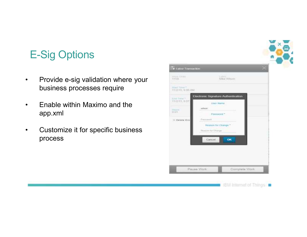## E-Sig Options

- • Provide e-sig validation where your business processes require
- • Enable within Maximo and the app.xml
- • Customize it for specific business process

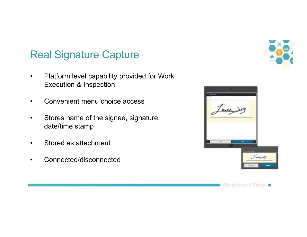## Real Signature Capture

- $\bullet$  Platform level capability provided for Work Execution & Inspection
- •Convenient menu choice access
- $\bullet$  Stores name of the signee, signature, date/time stamp
- •Stored as attachment
- $\bullet$ Connected/disconnected





IBM Internet of Things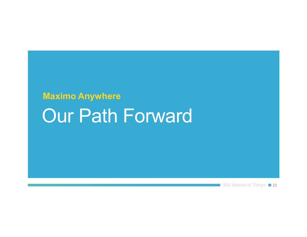## **Maximo Anywhere** Our Path Forward

EM Internet of Things: 22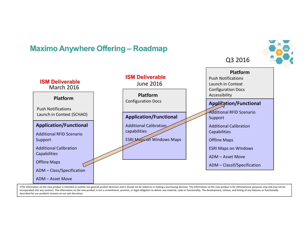#### **Maximo Anywhere Offering – Roadmap**



Q3 2016

. The information on the new product is intended to outline our general product direction and it should not be relied on in making a purchasing decision. The information on the new product is for informational purposes onl incorporated into any contract. The information on the new product is not a commitment, promise, or legal obligation to deliver any material, code or functionality. The development, release, and timing of any features or f described for our products remains at our sole discretion.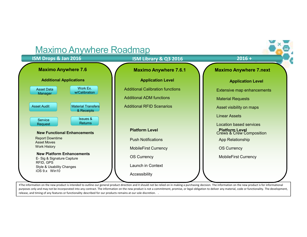

release, and timing of any features or functionality described for our products remains at our sole discretion. .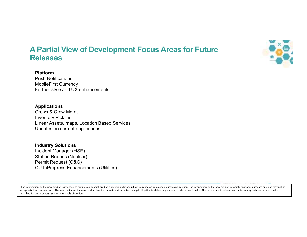

#### **A Partial View of Development Focus Areas for Future Releases**

#### **Platform**

 Push Notifications MobileFirst Currency Further style and UX enhancements

#### **Applications**

 Crews & Crew MgmtInventory Pick List Linear Assets, maps, Location Based ServicesUpdates on current applications

#### **Industry Solutions**

 Incident Manager (HSE) Station Rounds (Nuclear)Permit Request (O&G)CU InProgress Enhancements (Utilities)

. The information on the new product is intended to outline our general product direction and it should not be relied on in making a purchasing decision. The information on the new product is for informational purposes onl incorporated into any contract. The information on the new product is not a commitment, promise, or legal obligation to deliver any material, code or functionality. The development, release, and timing of any features or f described for our products remains at our sole discretion.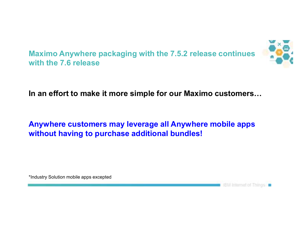

**Maximo Anywhere packaging with the 7.5.2 release continues with the 7.6 release**

In an effort to make it more simple for our Maximo customers...

#### **Anywhere customers may leverage all Anywhere mobile apps without having to purchase additional bundles!**

\*Industry Solution mobile apps excepted

**IBM internet of Things a**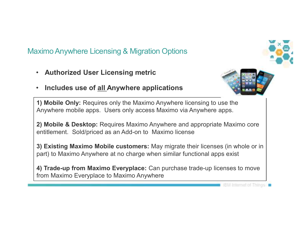### Maximo Anywhere Licensing & Migration Options

- **Authorized User Licensing metric**
- •**Includes use of all Anywhere applications**

**1) Mobile Only:** Requires only the Maximo Anywhere licensing to use the Anywhere mobile apps. Users only access Maximo via Anywhere apps.

**2) Mobile & Desktop:** Requires Maximo Anywhere and appropriate Maximo core entitlement. Sold/priced as an Add-on to Maximo license

**3) Existing Maximo Mobile customers:** May migrate their licenses (in whole or in part) to Maximo Anywhere at no charge when similar functional apps exist

**4) Trade-up from Maximo Everyplace:** Can purchase trade-up licenses to move from Maximo Everyplace to Maximo Anywhere

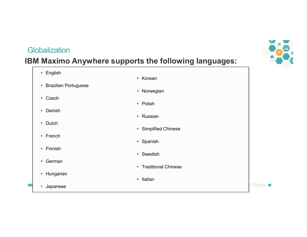#### **Globalization**

#### **IBM Maximo Anywhere supports the following languages:**

- English
- **Brazilian Portuguese**
- Czech
- Danish
- Dutch
- French
- Finnish
- German
- Hungarian
- Japanese
- Korean
- **Norwegian**
- Polish
- Russian
- **Simplified Chinese**
- Spanish
- Swedish
- Traditional Chinese
- Italian





**CThings**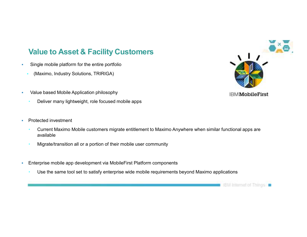#### **Value to Asset & Facility Customers**

- i. Single mobile platform for the entire portfolio
	- (Maximo, Industry Solutions, TRIRIGA)
- à. Value based Mobile Application philosophy
	- Deliver many lightweight, role focused mobile apps
- $\overline{\phantom{a}}$  Protected investment
	- Current Maximo Mobile customers migrate entitlement to Maximo Anywhere when similar functional apps are available
	- Migrate/transition all or a portion of their mobile user community
- a, Enterprise mobile app development via MobileFirst Platform components
	- Use the same tool set to satisfy enterprise wide mobile requirements beyond Maximo applications



#### **IBMMobileFirst**

**IBM Internet of Things in**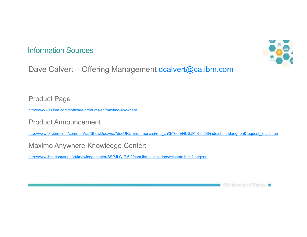#### Information Sources



Dave Calvert - Offering Management dcalvert@ca.ibm.com

Product Page

http://www-03.ibm.com/software/products/en/maximo-anywhere

Product Announcement

http://www-01.ibm.com/common/ssi/ShowDoc.wss?docURL=/common/ssi/rep\_ca/3/760/ENUSJP14-0603/index.html&lang=en&request\_locale=en

Maximo Anywhere Knowledge Center:

http://www.ibm.com/support/knowledgecenter/SSPJLC\_7.6.0/com.ibm.si.mpl.doc/welcome.html?lang=en

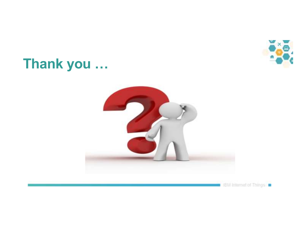

## **Thank you ...**



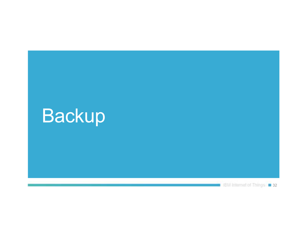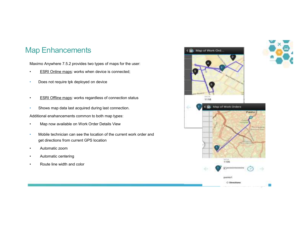#### Map Enhancements

Maximo Anywhere 7.5.2 provides two types of maps for the user:

- •ESRI Online maps: works when device is connected;
- •Does not require tpk deployed on device
- •**ESRI Offline maps: works regardless of connection status**
- •Shows map data last acquired during last connection.

Additional enahancements common to both map types:

- •Map now available on Work Order Details View
- • Mobile technician can see the location of the current work order and get directions from current GPS location
- •Automatic zoom
- •Automatic centering
- •Route line width and color



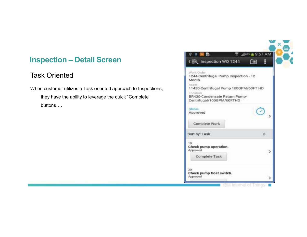### **Inspection – Detail Screen**

#### Task Oriented

When customer utilizes a Task oriented approach to Inspections,

they have the ability to leverage the quick "Complete" buttons....

| Ф                                                                                                                                                                                             | "468 L 9:57 AM |   |
|-----------------------------------------------------------------------------------------------------------------------------------------------------------------------------------------------|----------------|---|
| (图 Inspection WO 1244                                                                                                                                                                         | 画              | Ë |
| Work Order<br>1244-Centrifugal Pump Inspection - 12<br>Month.<br>Asset.<br>11430-Centrifugal Pump 100GPM/60FT HD<br>L'ociition.<br>BR430-Condensate Return Pump-<br>Centrifugal/100GPM/60FTHD |                |   |
| Status.<br>Approved                                                                                                                                                                           |                |   |
| Complete Work                                                                                                                                                                                 |                |   |
| Sort by: Task                                                                                                                                                                                 |                | 8 |
| 10<br>Check pump operation.<br>Approved<br>Complete Task                                                                                                                                      |                |   |
| 20-<br>Check pump float switch.<br>Approved                                                                                                                                                   |                |   |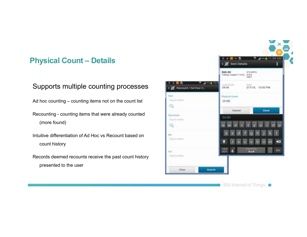#### **Physical Count – Details**

#### Supports multiple counting processes

Ad hoc counting – counting items not on the count list

- Recounting counting items that were already counted (more found)
- Intuitive differentiation of Ad Hoc vs Recount based oncount history
- Records deemed recounts receive the past count history presented to the user

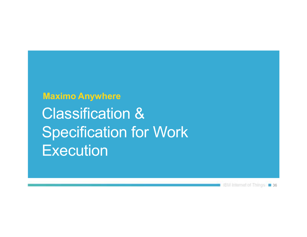**Maximo Anywhere**  Classification & Specification for Work **Execution** 

18M Internet of Things 1 36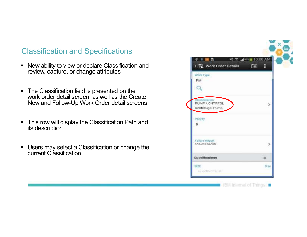#### Classification and Specifications

- $\blacksquare$  New ability to view or declare Classification and review, capture, or change attributes
- $\blacksquare$ The Classification field is presented on the work order detail screen, as well as the Create New and Follow-Up Work Order detail screens
- $\blacksquare$  This row will display the Classification Path and its description
- $\blacksquare$  Users may select a Classification or change the current Classification

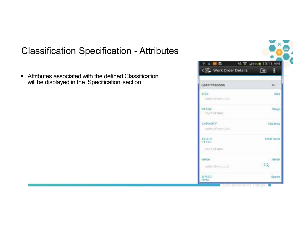### Classification Specification - Attributes

Attributes associated with the defined Classification will be displayed in the 'Specification' section

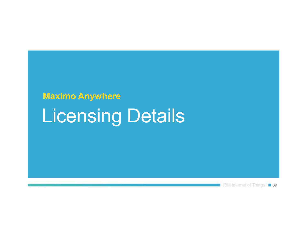# **Maximo Anywhere** Licensing Details

BM Internet of Things: 139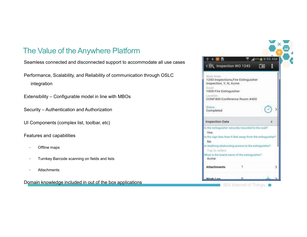### The Value of the Anywhere Platform

Seamless connected and disconnected support to accommodate all use cases

Performance, Scalability, and Reliability of communication through OSLC integration

- Extensibility Configurable model in line with MBOs
- Security Authentication and Authorization
- UI Components (complex list, toolbar, etc)

Features and capabilities

- •Offline maps
- •Turnkey Barcode scanning on fields and lists
- •**Attachments**

Domain knowledge included in out of the box applications

|                                                                                                                                                                                                                                                             |      |                             | х |
|-------------------------------------------------------------------------------------------------------------------------------------------------------------------------------------------------------------------------------------------------------------|------|-----------------------------|---|
| 医盘<br>٠                                                                                                                                                                                                                                                     |      | $M$ <sub>07</sub> + 9.55 AM |   |
| 《题 Inspection WO 1243                                                                                                                                                                                                                                       |      | 103                         |   |
| Work Order<br>1243-Inspections, Fire Extinguisher<br>Inspection, Y. N. Acme<br>Assat<br>1005-Fire Extinguisher<br>Location -<br>CONF400-Conference Room #400                                                                                                |      |                             |   |
| Status.<br>Completed                                                                                                                                                                                                                                        |      |                             |   |
| <b>Inspection Data</b>                                                                                                                                                                                                                                      |      |                             | z |
| In the estinguisher securely mounted to the wall?<br>Yes:<br>ts the sign less than 5 feet away from the extinguisher?<br>No<br>Its anything obstructing access to the extinguisher?<br>Tap to select<br>What is the brand name of the extinguisher?<br>Acme |      |                             |   |
| <b>Attachments</b>                                                                                                                                                                                                                                          | $-1$ |                             |   |
| <b>Mork Lon</b>                                                                                                                                                                                                                                             | Ω    |                             |   |

IBM internet of Things in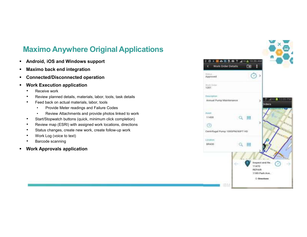#### **Maximo Anywhere Original Applications**

- $\blacksquare$ **Android, iOS and Windows support**
- П **Maximo back end integration**
- **Connected/Disconnected operation**
- $\blacksquare$  **Work Execution application**
	- •Receive work
	- Review planned details, materials, labor, tools, task details•
	- • Feed back on actual materials, labor, tools
		- Provide Meter readings and Failure Codes •
		- •Review Attachments and provide photos linked to work
	- •Start/Stopwatch buttons (quick, minimum click completion)
	- •Review map (ESRI) with assigned work locations, directions
	- •Status changes, create new work, create follow-up work
	- •Work Log (voice to text)
	- •Barcode scanning
- $\blacksquare$ **Work Approvals application**

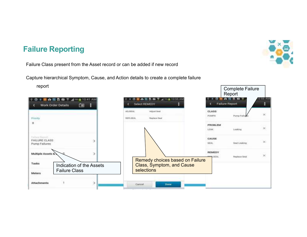#### **Failure Reporting**

Failure Class present from the Asset record or can be added if new record

Capture hierarchical Symptom, Cause, and Action details to create a complete failure

report



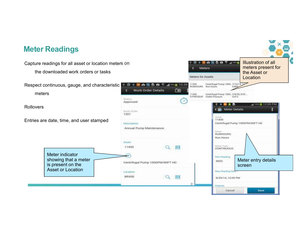#### **Meter Readings**

Illustration of all Capture readings for all asset or location meters on ◎□■△图显容常见图画 meters present for **Meters** the downloaded work orders or tasksthe Asset or Meters for Assets **Location** 11420 Centrifugal<br>RIJNIHOURS Run Hours Centrifugal Pump 1000. 7/10/14.17 Respect continuous, gauge, and characteristic 黒の玉島森  $4^{m}$  = 10.39 Work Order Details m  $\epsilon$ meters11430 Centrifugal Pump 100G., 2/9/05, 8:55... O PRESSUR Outlet Pressure  $4,473$ tinamas Approved  $\blacksquare$ torn \$12:09 PM **Rollovers** Meter Details н Work Onler 1201 **XALLE** 11430 Entries are date, time, and user stampedCentrifugal Pump 100GPM/60FT HD Description Annual Pump Maintenance **Liviani BUNHOURS Bun Hours** Asset Marjur:Typut 11430  $Q$  III **CONTINUOUS** Meter indicator New Pending Meter entry details showing that a meter 8653 Centrifugal Pump 100GPM/60FT HD is present on the screen Asset or Location**New Reading Date L**игабол<sup>1</sup>  $Q$   $||$ **BR430** 8/20/14, 12:00 PM **Flictions** Cancel Save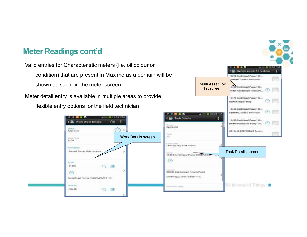#### **Meter Readings cont'd**

Valid entries for Characteristic meters (i.e. oil colour or condition) that are present in Maximo as a domain will be shown as such on the meter screen

Meter detail entry is available in multiple areas to provide flexible entry options for the field technician



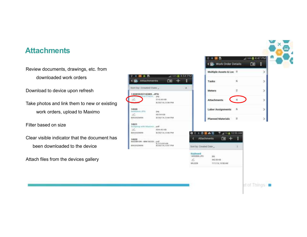#### **Attachments**

Review documents, drawings, etc. from downloaded work orders

Download to device upon refresh

Take photos and link them to new or existing work orders, upload to Maximo

Filter based on size

Clear visible indicator that the document has been downloaded to the device

Attach files from the devices gallery

| Sort by: Created Dela                   |                                 | 4.                              | Meters               |                                   | 2        |
|-----------------------------------------|---------------------------------|---------------------------------|----------------------|-----------------------------------|----------|
| 1408563216389 JPG<br><b>BEATTAGH BR</b> |                                 |                                 |                      |                                   |          |
| z                                       | 316.64 KB<br>8/20/14 3:36 PM    |                                 |                      | Attachments                       |          |
| 1020<br><b>Johnstofield JTTLL</b>       | <b>ERMA</b>                     |                                 |                      | <b>Labor Assignments</b>          | - 6      |
| Z.<br>MAXADMIN                          | 100:54.400<br>8/20/14, 3:44 PM  |                                 |                      | Planned Materials                 | $\Omega$ |
| 1021<br>Scripting with blooms per-<br>× | <b>GDA All KB</b>               |                                 |                      |                                   |          |
| <b>INAXADIANI</b><br>지금 아이가 들어서 다       | 8/20/14, 3:46 PM<br>.           |                                 | е<br><b>OL</b>       | A 71-8 10:59 AM                   |          |
| 1022<br>50248109 - IBM SCCO  pdf        |                                 |                                 | Attachments          | 面                                 | H        |
| <b>MAXADMIN</b>                         | 0.713.08.836<br>8/20/14 147 294 |                                 | Soft by Crested Date |                                   |          |
|                                         |                                 | <b>Keyboard</b><br>z.<br>WILSON | 14060904.0%          | 69<br>1442-0010<br>TITULA TESE AM |          |

Work Order Details

Multiple Assets & Loc. 0



 $\rightarrow$ 

У

et of Things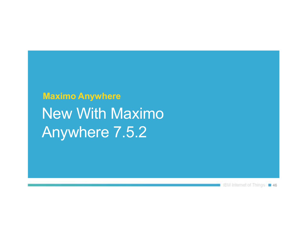## **Maximo Anywhere**  New With MaximoAnywhere 7.5.2

**16M Internet of Things: n 46**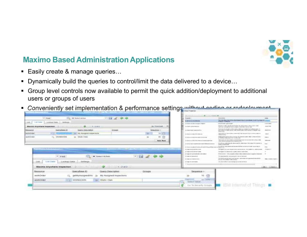

#### **Maximo Based Administration Applications**

- Easily create  $8$  manage queries...
- **Dynamically build the queries to control/limit the data delivered to a device...**  $\blacksquare$
- Group level controls now available to permit the quick addition/deployment to additional users or groups of users
- $\blacksquare$  Conveniently set implementation & performance settings without coding or redeployment

| $-168 = 148.45$<br><b>Brught Ad 6 S of A stringfield at</b><br><b>HOMAN EXPANS</b><br>'List there<br>$-3459444$<br>LOWAL DALL<br>ass.<br>A GARD CALL FOR CALLAGED HORSES<br>mischnacks apparatused<br><b>IL DIRECTOR</b><br><b>Maximo Anywhere Inspection</b><br>大正期間<br>13 (Frank) contract theorem (C)<br>Accounts of<br>last tute contractes certe is capacites and started and<br><b>Glymnyfianni (D)</b><br>Genera Dessurgation<br>GLENWIN<br>TXIMALIS<br>Designed sub-<br>is important Leasens LLc.<br><b>CONTRACTOR</b><br>on the most of the con-<br>L. A. Andre<br><b>PART TO SAT GLASSIFICATION CONSULT</b><br><b>HAVAINONE</b><br><b>TAV Assessme Incore tons</b><br>1811<br>The contract was not and any company company of the rest states was get the first state of the con-<br>the party and control that is the pro-<br>Streamer and address to the data to<br><b>HEREA MOVEL</b><br>ze-<br>WITHBOOWN<br>Went / Crery<br><b><i>Interfel Denkin</i></b><br>All releases as a consequently estimated in the local<br><b>Finish Rich</b><br>A 49-84-8-1-1-A Ford and the AM of the AM of the AM of the AM<br>change solution consideration on commitment that | The rise for a be children dealership that its document display began to process<br>civilized detects<br>Dennis 12 683, Uprusel and his like the shull brakes to this month challen.<br><b>EXECUTIVE</b><br>Distance: David Manager (maker) Baltimir Australia (1998) - Care (1999)<br>pay tran a risks were: No proteined-card buice in Earlyh car<br><b>Blackfood</b> |
|-----------------------------------------------------------------------------------------------------------------------------------------------------------------------------------------------------------------------------------------------------------------------------------------------------------------------------------------------------------------------------------------------------------------------------------------------------------------------------------------------------------------------------------------------------------------------------------------------------------------------------------------------------------------------------------------------------------------------------------------------------------------------------------------------------------------------------------------------------------------------------------------------------------------------------------------------------------------------------------------------------------------------------------------------------------------------------------------------------------------------------------------------------------------------------|-------------------------------------------------------------------------------------------------------------------------------------------------------------------------------------------------------------------------------------------------------------------------------------------------------------------------------------------------------------------------|
|                                                                                                                                                                                                                                                                                                                                                                                                                                                                                                                                                                                                                                                                                                                                                                                                                                                                                                                                                                                                                                                                                                                                                                             |                                                                                                                                                                                                                                                                                                                                                                         |
|                                                                                                                                                                                                                                                                                                                                                                                                                                                                                                                                                                                                                                                                                                                                                                                                                                                                                                                                                                                                                                                                                                                                                                             |                                                                                                                                                                                                                                                                                                                                                                         |
|                                                                                                                                                                                                                                                                                                                                                                                                                                                                                                                                                                                                                                                                                                                                                                                                                                                                                                                                                                                                                                                                                                                                                                             |                                                                                                                                                                                                                                                                                                                                                                         |
|                                                                                                                                                                                                                                                                                                                                                                                                                                                                                                                                                                                                                                                                                                                                                                                                                                                                                                                                                                                                                                                                                                                                                                             |                                                                                                                                                                                                                                                                                                                                                                         |
|                                                                                                                                                                                                                                                                                                                                                                                                                                                                                                                                                                                                                                                                                                                                                                                                                                                                                                                                                                                                                                                                                                                                                                             | <b>CONTRACTOR</b>                                                                                                                                                                                                                                                                                                                                                       |
|                                                                                                                                                                                                                                                                                                                                                                                                                                                                                                                                                                                                                                                                                                                                                                                                                                                                                                                                                                                                                                                                                                                                                                             | THE R. P. LEWIS CO., LANSING, MICH. 49-14039-1-120-2<br><b>START OF</b>                                                                                                                                                                                                                                                                                                 |
|                                                                                                                                                                                                                                                                                                                                                                                                                                                                                                                                                                                                                                                                                                                                                                                                                                                                                                                                                                                                                                                                                                                                                                             | Thermal by the select leads to dealer from them the tory of the selection of the<br><b>MARKET</b>                                                                                                                                                                                                                                                                       |
| 2 0 to the city of the research buyer and with the detail of the basic and<br>treated chromium plant                                                                                                                                                                                                                                                                                                                                                                                                                                                                                                                                                                                                                                                                                                                                                                                                                                                                                                                                                                                                                                                                        | (Frank) as collected the department for allies report this since four expected as<br><b>Canada</b>                                                                                                                                                                                                                                                                      |
| A door in the plant contact the expertation and has a series of the state of the state of the process of the first paid of the line                                                                                                                                                                                                                                                                                                                                                                                                                                                                                                                                                                                                                                                                                                                                                                                                                                                                                                                                                                                                                                         | <b>Hotel</b>                                                                                                                                                                                                                                                                                                                                                            |
| 16 Today of the Annis Premium Corp.                                                                                                                                                                                                                                                                                                                                                                                                                                                                                                                                                                                                                                                                                                                                                                                                                                                                                                                                                                                                                                                                                                                                         | convergence to be a great rakismant ballots are interested on a first confidently to rapidly consistent<br><b>Production</b>                                                                                                                                                                                                                                            |
| <u>and the same of the same</u><br>12 Today of the Annahment Country<br>Licensed Into Moderated of publication or short-hand                                                                                                                                                                                                                                                                                                                                                                                                                                                                                                                                                                                                                                                                                                                                                                                                                                                                                                                                                                                                                                                |                                                                                                                                                                                                                                                                                                                                                                         |
| A today A 61 packtrically adjust a data planet-<br>commenced in                                                                                                                                                                                                                                                                                                                                                                                                                                                                                                                                                                                                                                                                                                                                                                                                                                                                                                                                                                                                                                                                                                             | 200 and 4,000 kg 1. 20 day process for USA books that the Allison the second company is to be an excess to                                                                                                                                                                                                                                                              |
| $-64 \times 44$<br>* Select Action<br>$-$ 1990<br>This parameter in technique term at our remainst<br>division with policies and                                                                                                                                                                                                                                                                                                                                                                                                                                                                                                                                                                                                                                                                                                                                                                                                                                                                                                                                                                                                                                            | This hid by an electron and country served at advertising their parameters exactly the                                                                                                                                                                                                                                                                                  |
| AT 1998 12:00 SUBMIT FOR EST<br>province the student code metrics.                                                                                                                                                                                                                                                                                                                                                                                                                                                                                                                                                                                                                                                                                                                                                                                                                                                                                                                                                                                                                                                                                                          | International contents of the Con-                                                                                                                                                                                                                                                                                                                                      |
| 5.448<br>List Usera<br>Louisvan Thata<br><b>IbertEarygun</b><br>that againstes to go counted his territories between<br>or this comp description.<br>and the company the of the EA of Land and Land and Land and                                                                                                                                                                                                                                                                                                                                                                                                                                                                                                                                                                                                                                                                                                                                                                                                                                                                                                                                                            |                                                                                                                                                                                                                                                                                                                                                                         |
| $1 - 242$<br>Maximo Anywhere Inspection                                                                                                                                                                                                                                                                                                                                                                                                                                                                                                                                                                                                                                                                                                                                                                                                                                                                                                                                                                                                                                                                                                                                     | comment with the first party of the<br>Additional Analysis and                                                                                                                                                                                                                                                                                                          |
|                                                                                                                                                                                                                                                                                                                                                                                                                                                                                                                                                                                                                                                                                                                                                                                                                                                                                                                                                                                                                                                                                                                                                                             |                                                                                                                                                                                                                                                                                                                                                                         |
| Doendares (D)<br>Guery Description<br>ПИВЛИКИ<br>GYOUDS<br><b>GOODERER</b>                                                                                                                                                                                                                                                                                                                                                                                                                                                                                                                                                                                                                                                                                                                                                                                                                                                                                                                                                                                                                                                                                                  |                                                                                                                                                                                                                                                                                                                                                                         |
| gett-functionagetive<br>My Assigned trapectors.<br><b>WorkCrider</b>                                                                                                                                                                                                                                                                                                                                                                                                                                                                                                                                                                                                                                                                                                                                                                                                                                                                                                                                                                                                                                                                                                        |                                                                                                                                                                                                                                                                                                                                                                         |
|                                                                                                                                                                                                                                                                                                                                                                                                                                                                                                                                                                                                                                                                                                                                                                                                                                                                                                                                                                                                                                                                                                                                                                             |                                                                                                                                                                                                                                                                                                                                                                         |
| <b>CAN EXPIRED</b><br><b>Sales Land and</b><br><b>WOODCROOF</b><br><b>WORKKOWN</b><br>WORLD Crash<br>Cieseut, Walter<br><b>REPORTANCIAN</b>                                                                                                                                                                                                                                                                                                                                                                                                                                                                                                                                                                                                                                                                                                                                                                                                                                                                                                                                                                                                                                 |                                                                                                                                                                                                                                                                                                                                                                         |
|                                                                                                                                                                                                                                                                                                                                                                                                                                                                                                                                                                                                                                                                                                                                                                                                                                                                                                                                                                                                                                                                                                                                                                             | <b>IBM Internet of Thinas</b>                                                                                                                                                                                                                                                                                                                                           |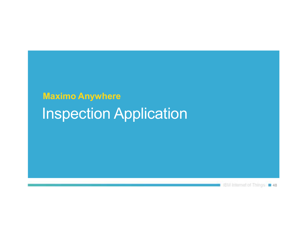## **Maximo Anywhere**  Inspection Application

**18M Internet of Things 1 48**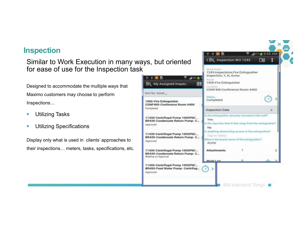#### **Inspection**

#### Similar to Work Execution in many ways, but oriented for ease of use for the Inspection task

Designed to accommodate the multiple ways that Maximo customers may choose to perform Inspections...

- $\overline{\phantom{a}}$ Utilizing Tasks
- п Utilizing Specifications

Display only what is used in clients' approaches to their inspections... meters, tasks, specifications, etc.

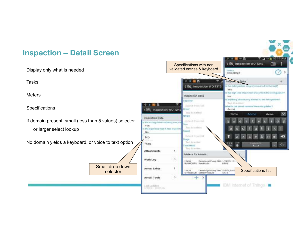#### **Inspection – Detail Screen**

Display only what is needed

Tasks

**Meters** 

Specifications

If domain present, small (less than 5 values) selector or larger select lookup

No domain yields a keyboard, or voice to text option

Small drop down

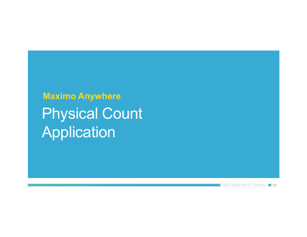**Maximo Anywhere**  Physical Count Application

EM internet of Things | 51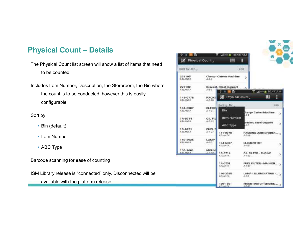#### **Physical Count – Details**

The Physical Count list screen will show a list of items that need to be counted

Includes Item Number, Description, the Storeroom, the Bin where the count is to be conducted, however this is easily configurable

Sort by:

- Bin (default)
- Item Number
- ABC Type

Barcode scanning for ease of counting

ISM Library release is "connected" only. Disconnected will be

available with the platform release.

| Ж٢<br>Physical Count       |                               | 10:45 AM<br><b>All Times</b><br>ш                  | E                                              |     |
|----------------------------|-------------------------------|----------------------------------------------------|------------------------------------------------|-----|
| Sort by Din                |                               | 200                                                |                                                |     |
| 251105<br><b>ATLANTA</b>   | $4 - 3 - 4$                   | Clamp- Carton Machine                              |                                                |     |
| 227132<br><b>ATLANTA</b>   | 五七子                           | Bracket, Steel Support<br>÷<br>$\blacksquare$<br>m | $10.47$ AM                                     |     |
| 141-0778<br><b>ATLANTA</b> | <b>PACKIL</b><br>$A_1, T-1.0$ | Ж٢<br><b>Physical Count</b>                        | ш                                              | H   |
| 134-6307<br><b>ATLANTA</b> | <b>ELEMBI</b><br>$A - T - 2T$ | Sort by: Bin.<br>Bin                               | <b>Samp- Carton Machine</b>                    | 200 |
| 18-0714<br><b>ATLANTA</b>  | <b>OIL FIL</b><br>A/7/22      | Item Number                                        | $-3 - 4$<br>Iracket, Steel Support<br>$-5 - 7$ | r   |
| 18-0751<br><b>ATLANTA</b>  | FUEL F<br>$A - T - 2T$        | ABC Type<br>141-0778<br>ATLANTA                    | PACKING LUBE DIVIDER<br>A-7-18                 |     |
| 140-2925<br><b>ATLANTA</b> | <b>LAMP</b><br>$4.7-3$        | 134-6307<br><b>ATLANTA</b>                         | <b>ELEMENT KIT</b><br>$4 - 7 - 21$             | э   |
| 130-1601<br><b>ATLANTA</b> | MOUN<br>ALC: NO               | 18-0714<br><b>ATLANTA</b>                          | OIL FILTER - ENGINE<br>$A-7-22$                | ь   |
|                            |                               | 18-0751<br>ATLANTA                                 | FUEL FILTER - MAIN EN<br>4.7.27                |     |
|                            |                               | 140-2925<br>ATLANTA                                | LAMP - ILLUMINATION -- 3<br>$A - 7 - 3$        |     |
|                            |                               | 130-1601<br><b>ATLANTA</b>                         | MOUNTING GP-ENGINE<br>1.7.32                   |     |